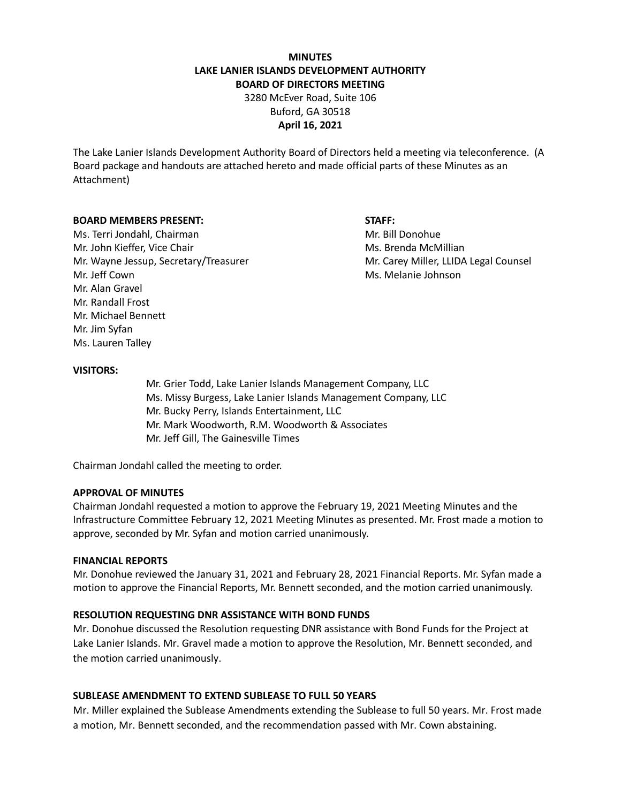# **MINUTES LAKE LANIER ISLANDS DEVELOPMENT AUTHORITY BOARD OF DIRECTORS MEETING**

3280 McEver Road, Suite 106 Buford, GA 30518 **April 16, 2021**

The Lake Lanier Islands Development Authority Board of Directors held a meeting via teleconference. (A Board package and handouts are attached hereto and made official parts of these Minutes as an Attachment)

## **BOARD MEMBERS PRESENT: STAFF:**

Ms. Terri Jondahl, Chairman Mr. Bill Donohue Mr. John Kieffer, Vice Chair Mus. Brenda McMillian Mr. Wayne Jessup, Secretary/Treasurer Music Carey Miller, LLIDA Legal Counsel Mr. Jeff Cown Ms. Melanie Johnson Mr. Alan Gravel Mr. Randall Frost Mr. Michael Bennett Mr. Jim Syfan Ms. Lauren Talley

## **VISITORS:**

Mr. Grier Todd, Lake Lanier Islands Management Company, LLC Ms. Missy Burgess, Lake Lanier Islands Management Company, LLC Mr. Bucky Perry, Islands Entertainment, LLC Mr. Mark Woodworth, R.M. Woodworth & Associates Mr. Jeff Gill, The Gainesville Times

Chairman Jondahl called the meeting to order.

#### **APPROVAL OF MINUTES**

Chairman Jondahl requested a motion to approve the February 19, 2021 Meeting Minutes and the Infrastructure Committee February 12, 2021 Meeting Minutes as presented. Mr. Frost made a motion to approve, seconded by Mr. Syfan and motion carried unanimously.

#### **FINANCIAL REPORTS**

Mr. Donohue reviewed the January 31, 2021 and February 28, 2021 Financial Reports. Mr. Syfan made a motion to approve the Financial Reports, Mr. Bennett seconded, and the motion carried unanimously.

## **RESOLUTION REQUESTING DNR ASSISTANCE WITH BOND FUNDS**

Mr. Donohue discussed the Resolution requesting DNR assistance with Bond Funds for the Project at Lake Lanier Islands. Mr. Gravel made a motion to approve the Resolution, Mr. Bennett seconded, and the motion carried unanimously.

## **SUBLEASE AMENDMENT TO EXTEND SUBLEASE TO FULL 50 YEARS**

Mr. Miller explained the Sublease Amendments extending the Sublease to full 50 years. Mr. Frost made a motion, Mr. Bennett seconded, and the recommendation passed with Mr. Cown abstaining.